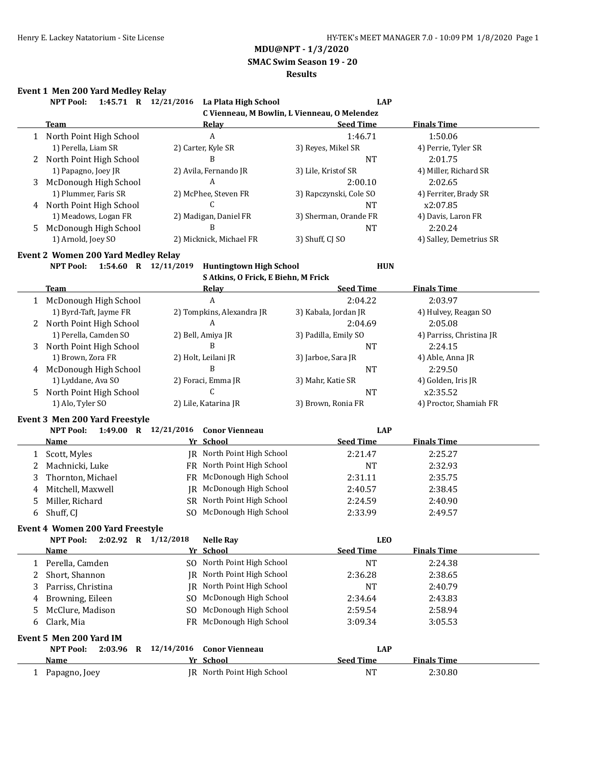**SMAC Swim Season 19 - 20**

#### **Results**

### **Event 1 Men 200 Yard Medley Relay**

|              | <b>NPT Pool:</b>                                  | 1:45.71 R 12/21/2016   | La Plata High School                         | <b>LAP</b>                     |                               |
|--------------|---------------------------------------------------|------------------------|----------------------------------------------|--------------------------------|-------------------------------|
|              |                                                   |                        | C Vienneau, M Bowlin, L Vienneau, O Melendez |                                |                               |
|              | <b>Team</b>                                       |                        | Relay<br>A                                   | <b>Seed Time</b>               | <b>Finals Time</b>            |
| $\mathbf{1}$ | North Point High School                           |                        |                                              | 1:46.71                        | 1:50.06                       |
|              | 1) Perella, Liam SR                               |                        | 2) Carter, Kyle SR<br>B                      | 3) Reyes, Mikel SR             | 4) Perrie, Tyler SR           |
| 2            | North Point High School                           |                        |                                              | <b>NT</b>                      | 2:01.75                       |
|              | 1) Papagno, Joey JR                               |                        | 2) Avila, Fernando JR                        | 3) Lile, Kristof SR            | 4) Miller, Richard SR         |
| 3            | McDonough High School                             |                        | A<br>2) McPhee, Steven FR                    | 2:00.10                        | 2:02.65                       |
|              | 1) Plummer, Faris SR                              |                        | C                                            | 3) Rapczynski, Cole SO         | 4) Ferriter, Brady SR         |
|              | 4 North Point High School<br>1) Meadows, Logan FR |                        |                                              | <b>NT</b>                      | x2:07.85                      |
|              |                                                   |                        | 2) Madigan, Daniel FR<br>B                   | 3) Sherman, Orande FR          | 4) Davis, Laron FR<br>2:20.24 |
| 5            | McDonough High School<br>1) Arnold, Joey SO       |                        | 2) Micknick, Michael FR                      | <b>NT</b><br>3) Shuff, CJ SO   | 4) Salley, Demetrius SR       |
|              |                                                   |                        |                                              |                                |                               |
|              | <b>Event 2 Women 200 Yard Medley Relay</b>        |                        |                                              |                                |                               |
|              | <b>NPT Pool:</b>                                  | 1:54.60 R 12/11/2019   | <b>Huntingtown High School</b>               | <b>HUN</b>                     |                               |
|              |                                                   |                        | S Atkins, O Frick, E Biehn, M Frick          |                                |                               |
|              | Team                                              |                        | Relay                                        | <b>Seed Time</b>               | <b>Finals Time</b>            |
|              | 1 McDonough High School                           |                        | A                                            | 2:04.22                        | 2:03.97                       |
|              | 1) Byrd-Taft, Jayme FR                            |                        | 2) Tompkins, Alexandra JR                    | 3) Kabala, Jordan JR           | 4) Hulvey, Reagan SO          |
| 2            | North Point High School                           |                        | A                                            | 2:04.69                        | 2:05.08                       |
|              | 1) Perella, Camden SO                             |                        | 2) Bell, Amiya JR                            | 3) Padilla, Emily SO           | 4) Parriss, Christina JR      |
| 3            | North Point High School                           |                        | B                                            | <b>NT</b>                      | 2:24.15                       |
|              | 1) Brown, Zora FR                                 |                        | 2) Holt, Leilani JR                          | 3) Jarboe, Sara JR             | 4) Able, Anna JR              |
|              | 4 McDonough High School                           |                        | B                                            | <b>NT</b>                      | 2:29.50                       |
|              | 1) Lyddane, Ava SO                                |                        | 2) Foraci, Emma JR                           | 3) Mahr, Katie SR              | 4) Golden, Iris JR            |
| 5            | North Point High School                           |                        | C                                            | <b>NT</b>                      | x2:35.52                      |
|              | 1) Alo, Tyler SO                                  |                        | 2) Lile, Katarina JR                         | 3) Brown, Ronia FR             | 4) Proctor, Shamiah FR        |
|              | Event 3 Men 200 Yard Freestyle                    |                        |                                              |                                |                               |
|              | NPT Pool:                                         | 1:49.00 R $12/21/2016$ | <b>Conor Vienneau</b>                        | <b>LAP</b>                     |                               |
|              | <b>Name</b>                                       |                        | Yr School                                    | <b>Seed Time</b>               | <b>Finals Time</b>            |
| $\mathbf{1}$ | Scott, Myles                                      |                        | JR North Point High School                   | 2:21.47                        | 2:25.27                       |
| 2            | Machnicki, Luke                                   |                        | FR North Point High School                   | <b>NT</b>                      | 2:32.93                       |
| 3            | Thornton, Michael                                 | <b>FR</b>              | McDonough High School                        | 2:31.11                        | 2:35.75                       |
| 4            | Mitchell, Maxwell                                 | JR                     | McDonough High School                        | 2:40.57                        | 2:38.45                       |
| 5            | Miller, Richard                                   | <b>SR</b>              | North Point High School                      | 2:24.59                        | 2:40.90                       |
| 6            | Shuff, CJ                                         |                        | SO McDonough High School                     | 2:33.99                        | 2:49.57                       |
|              | Event 4 Women 200 Yard Freestyle                  |                        |                                              |                                |                               |
|              | 2:02.92 R 1/12/2018<br><b>NPT Pool:</b>           |                        | <b>Nelle Ray</b>                             | <b>LEO</b>                     |                               |
|              | <u>Name</u>                                       |                        | Yr School                                    | <b>Seed Time</b>               | <b>Finals Time</b>            |
|              | Perella, Camden                                   |                        | SO North Point High School                   | <b>NT</b>                      | 2:24.38                       |
| 1            |                                                   | IR                     | North Point High School                      | 2:36.28                        | 2:38.65                       |
| 2            | Short, Shannon                                    |                        | North Point High School                      | NT                             | 2:40.79                       |
| 3            | Parriss, Christina                                | IR                     |                                              |                                |                               |
| 4            |                                                   | SO.                    | McDonough High School                        | 2:34.64                        | 2:43.83                       |
|              | Browning, Eileen                                  | SO.                    | McDonough High School                        | 2:59.54                        |                               |
| 5<br>6       | McClure, Madison                                  |                        | FR McDonough High School                     |                                | 2:58.94                       |
|              | Clark, Mia                                        |                        |                                              | 3:09.34                        | 3:05.53                       |
|              | Event 5 Men 200 Yard IM                           |                        |                                              |                                |                               |
|              | <b>NPT Pool:</b><br>2:03.96<br><u>Name</u>        | R 12/14/2016           | <b>Conor Vienneau</b><br>Yr School           | <b>LAP</b><br><b>Seed Time</b> | <b>Finals Time</b>            |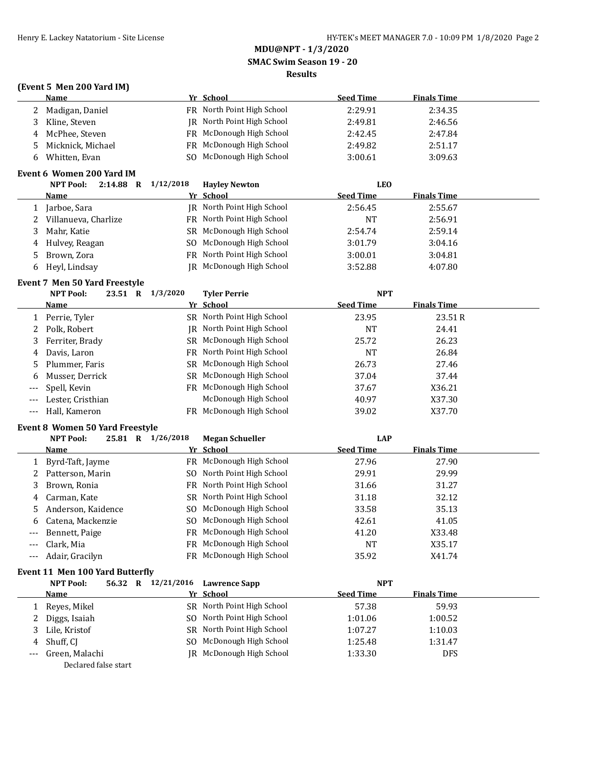## **MDU@NPT - 1/3/2020 SMAC Swim Season 19 - 20**

#### **Results**

## **(Event 5 Men 200 Yard IM)**

|              | (Event 5 Men 200 Yard IM)               |                   |                            |                  |                    |  |
|--------------|-----------------------------------------|-------------------|----------------------------|------------------|--------------------|--|
|              | <u>Name</u>                             |                   | Yr School                  | <b>Seed Time</b> | <b>Finals Time</b> |  |
| 2            | Madigan, Daniel                         |                   | FR North Point High School | 2:29.91          | 2:34.35            |  |
| 3            | Kline, Steven                           |                   | JR North Point High School | 2:49.81          | 2:46.56            |  |
| 4            | McPhee, Steven                          |                   | FR McDonough High School   | 2:42.45          | 2:47.84            |  |
| 5            | Micknick, Michael                       |                   | FR McDonough High School   | 2:49.82          | 2:51.17            |  |
| 6            | Whitten, Evan                           |                   | SO McDonough High School   | 3:00.61          | 3:09.63            |  |
|              | <b>Event 6 Women 200 Yard IM</b>        |                   |                            |                  |                    |  |
|              | <b>NPT Pool:</b><br>2:14.88 R 1/12/2018 |                   | <b>Hayley Newton</b>       | <b>LEO</b>       |                    |  |
|              | <b>Name</b>                             |                   | Yr School                  | <b>Seed Time</b> | <b>Finals Time</b> |  |
| 1            | Jarboe, Sara                            |                   | JR North Point High School | 2:56.45          | 2:55.67            |  |
| 2            | Villanueva, Charlize                    |                   | FR North Point High School | <b>NT</b>        | 2:56.91            |  |
| 3            | Mahr, Katie                             |                   | SR McDonough High School   | 2:54.74          | 2:59.14            |  |
| 4            | Hulvey, Reagan                          | SO.               | McDonough High School      | 3:01.79          | 3:04.16            |  |
| 5            | Brown, Zora                             |                   | FR North Point High School | 3:00.01          | 3:04.81            |  |
| 6            | Heyl, Lindsay                           |                   | JR McDonough High School   | 3:52.88          | 4:07.80            |  |
|              | Event 7 Men 50 Yard Freestyle           |                   |                            |                  |                    |  |
|              | <b>NPT Pool:</b><br>23.51 R 1/3/2020    |                   | <b>Tyler Perrie</b>        | <b>NPT</b>       |                    |  |
|              | <u>Name</u>                             |                   | Yr School                  | <b>Seed Time</b> | <b>Finals Time</b> |  |
| $\mathbf{1}$ | Perrie, Tyler                           |                   | SR North Point High School | 23.95            | 23.51R             |  |
| 2            | Polk, Robert                            |                   | JR North Point High School | <b>NT</b>        | 24.41              |  |
| 3            | Ferriter, Brady                         |                   | SR McDonough High School   | 25.72            | 26.23              |  |
| 4            | Davis, Laron                            |                   | FR North Point High School | <b>NT</b>        | 26.84              |  |
| 5            | Plummer, Faris                          |                   | SR McDonough High School   | 26.73            | 27.46              |  |
| 6            | Musser, Derrick                         |                   | SR McDonough High School   | 37.04            | 37.44              |  |
| ---          | Spell, Kevin                            |                   | FR McDonough High School   | 37.67            | X36.21             |  |
|              | Lester, Cristhian                       |                   | McDonough High School      | 40.97            | X37.30             |  |
| $---$        | Hall, Kameron                           |                   | FR McDonough High School   | 39.02            | X37.70             |  |
|              | <b>Event 8 Women 50 Yard Freestyle</b>  |                   |                            |                  |                    |  |
|              | <b>NPT Pool:</b>                        | 25.81 R 1/26/2018 | <b>Megan Schueller</b>     | <b>LAP</b>       |                    |  |
|              | Name                                    |                   | Yr School                  | <b>Seed Time</b> | <b>Finals Time</b> |  |
| 1            | Byrd-Taft, Jayme                        |                   | FR McDonough High School   | 27.96            | 27.90              |  |
| 2            | Patterson, Marin                        |                   | SO North Point High School | 29.91            | 29.99              |  |
| 3            | Brown, Ronia                            |                   | FR North Point High School | 31.66            | 31.27              |  |
| 4            | Carman, Kate                            |                   | SR North Point High School | 31.18            | 32.12              |  |
| 5            | Anderson, Kaidence                      | SO.               | McDonough High School      | 33.58            | 35.13              |  |
| 6            | Catena, Mackenzie                       | SO.               | McDonough High School      | 42.61            | 41.05              |  |
| ---          | Bennett, Paige                          |                   | FR McDonough High School   | 41.20            | X33.48             |  |

## **Event 11 Men 100 Yard Butterfly**

| <b>NPT Pool:</b>   | 56.32 | $\mathbf{R}$ | $12/21/2016$ Lawrence Sapp | <b>NPT</b>       |                    |  |
|--------------------|-------|--------------|----------------------------|------------------|--------------------|--|
| Name               |       |              | Yr School                  | <b>Seed Time</b> | <b>Finals Time</b> |  |
| 1 Reves, Mikel     |       |              | SR North Point High School | 57.38            | 59.93              |  |
| 2 Diggs, Isaiah    |       |              | SO North Point High School | 1:01.06          | 1:00.52            |  |
| 3 Lile, Kristof    |       |              | SR North Point High School | 1:07.27          | 1:10.03            |  |
| 4 Shuff, CI        |       |              | SO McDonough High School   | 1:25.48          | 1:31.47            |  |
| --- Green, Malachi |       |              | IR McDonough High School   | 1:33.30          | <b>DFS</b>         |  |
|                    |       |              |                            |                  |                    |  |

--- Clark, Mia **FR McDonough High School** NT X35.17 --- Adair, Gracilyn **FR** McDonough High School 35.92 X41.74

Declared false start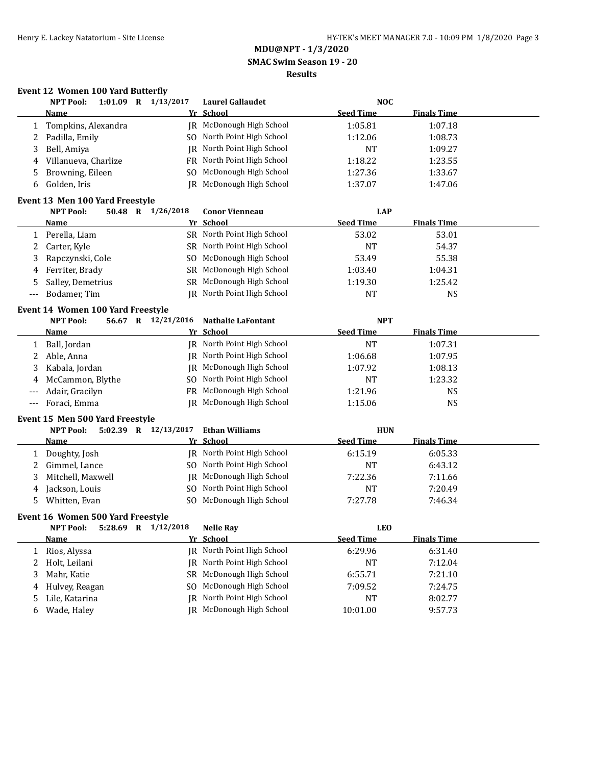## **MDU@NPT - 1/3/2020 SMAC Swim Season 19 - 20**

### **Results**

#### **Event 12 Women 100 Yard Butterfly NPT Pool: 1:01.09 R 1/13/2017 Laurel Gallaudet NOC**

|       | Name                                     |     | Yr School                  | <b>Seed Time</b> | <b>Finals Time</b> |
|-------|------------------------------------------|-----|----------------------------|------------------|--------------------|
| 1     | Tompkins, Alexandra                      |     | JR McDonough High School   | 1:05.81          | 1:07.18            |
| 2     | Padilla, Emily                           |     | SO North Point High School | 1:12.06          | 1:08.73            |
| 3     | Bell, Amiya                              |     | JR North Point High School | <b>NT</b>        | 1:09.27            |
| 4     | Villanueva, Charlize                     |     | FR North Point High School | 1:18.22          | 1:23.55            |
| 5     | Browning, Eileen                         |     | SO McDonough High School   | 1:27.36          | 1:33.67            |
| 6     | Golden, Iris                             |     | JR McDonough High School   | 1:37.07          | 1:47.06            |
|       | Event 13 Men 100 Yard Freestyle          |     |                            |                  |                    |
|       | <b>NPT Pool:</b><br>50.48 R 1/26/2018    |     | <b>Conor Vienneau</b>      | <b>LAP</b>       |                    |
|       | <u>Name</u>                              |     | Yr School                  | <b>Seed Time</b> | <b>Finals Time</b> |
| 1     | Perella, Liam                            |     | SR North Point High School | 53.02            | 53.01              |
| 2     | Carter, Kyle                             |     | SR North Point High School | <b>NT</b>        | 54.37              |
| 3     | Rapczynski, Cole                         |     | SO McDonough High School   | 53.49            | 55.38              |
| 4     | Ferriter, Brady                          |     | SR McDonough High School   | 1:03.40          | 1:04.31            |
| 5     | Salley, Demetrius                        |     | SR McDonough High School   | 1:19.30          | 1:25.42            |
| $---$ | Bodamer, Tim                             |     | JR North Point High School | <b>NT</b>        | <b>NS</b>          |
|       | Event 14 Women 100 Yard Freestyle        |     |                            |                  |                    |
|       | 56.67 R 12/21/2016<br><b>NPT Pool:</b>   |     | <b>Nathalie LaFontant</b>  | <b>NPT</b>       |                    |
|       | <u>Name</u>                              |     | Yr School                  | <b>Seed Time</b> | <b>Finals Time</b> |
| 1     | Ball, Jordan                             |     | JR North Point High School | <b>NT</b>        | 1:07.31            |
| 2     | Able, Anna                               |     | JR North Point High School | 1:06.68          | 1:07.95            |
| 3     | Kabala, Jordan                           | IR  | McDonough High School      | 1:07.92          | 1:08.13            |
| 4     | McCammon, Blythe                         |     | SO North Point High School | <b>NT</b>        | 1:23.32            |
|       | Adair, Gracilyn                          |     | FR McDonough High School   | 1:21.96          | <b>NS</b>          |
| ---   | Foraci, Emma                             |     | JR McDonough High School   | 1:15.06          | <b>NS</b>          |
|       | Event 15 Men 500 Yard Freestyle          |     |                            |                  |                    |
|       | 5:02.39 R 12/13/2017<br><b>NPT Pool:</b> |     | <b>Ethan Williams</b>      | <b>HUN</b>       |                    |
|       | Name                                     |     | Yr School                  | <b>Seed Time</b> | <b>Finals Time</b> |
| 1     | Doughty, Josh                            |     | JR North Point High School | 6:15.19          | 6:05.33            |
| 2     | Gimmel, Lance                            |     | SO North Point High School | <b>NT</b>        | 6:43.12            |
| 3     | Mitchell, Maxwell                        |     | JR McDonough High School   | 7:22.36          | 7:11.66            |
| 4     | Jackson, Louis                           |     | SO North Point High School | NT               | 7:20.49            |
| 5     | Whitten, Evan                            |     | SO McDonough High School   | 7:27.78          | 7:46.34            |
|       | Event 16 Women 500 Yard Freestyle        |     |                            |                  |                    |
|       | 5:28.69 R 1/12/2018<br><b>NPT Pool:</b>  |     | <b>Nelle Ray</b>           | <b>LEO</b>       |                    |
|       | <b>Name</b>                              |     | Yr School                  | <b>Seed Time</b> | <b>Finals Time</b> |
| 1     | Rios, Alyssa                             |     | JR North Point High School | 6:29.96          | 6:31.40            |
| 2     | Holt, Leilani                            | IR  | North Point High School    | <b>NT</b>        | 7:12.04            |
| 3     | Mahr, Katie                              | SR  | McDonough High School      | 6:55.71          | 7:21.10            |
| 4     | Hulvey, Reagan                           | SO. | McDonough High School      | 7:09.52          | 7:24.75            |
| 5     | Lile, Katarina                           | IR  | North Point High School    | NT               | 8:02.77            |
| 6     | Wade, Haley                              |     | JR McDonough High School   | 10:01.00         | 9:57.73            |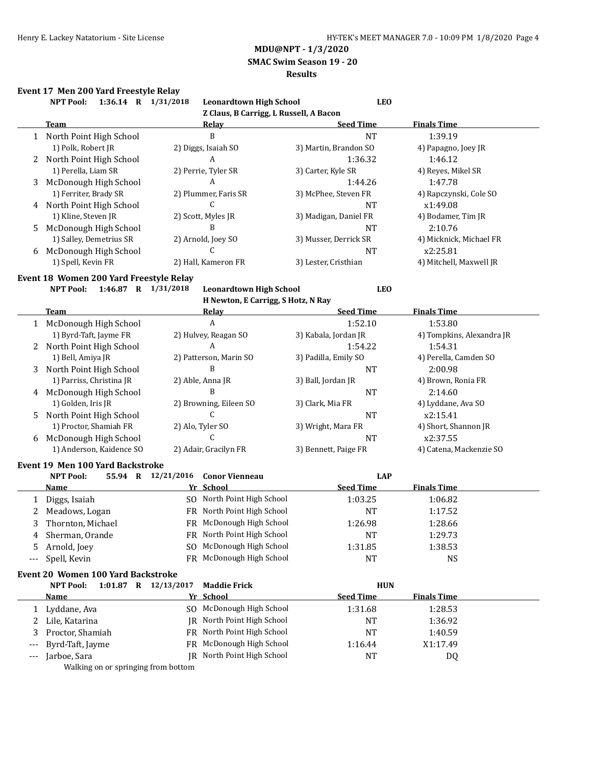## **SMAC Swim Season 19 - 20**

#### **Results**

#### **Event 17 Men 200 Yard Freestyle Relay**

|     | 1:36.14 R $1/31/2018$<br><b>NPT Pool:</b> |                    | <b>Leonardtown High School</b>         | <b>LEO</b>            |                           |
|-----|-------------------------------------------|--------------------|----------------------------------------|-----------------------|---------------------------|
|     |                                           |                    | Z Claus, B Carrigg, L Russell, A Bacon |                       |                           |
|     | Team                                      |                    | <u>Relav</u>                           | <b>Seed Time</b>      | <b>Finals Time</b>        |
|     | 1 North Point High School                 |                    | B                                      | <b>NT</b>             | 1:39.19                   |
|     | 1) Polk, Robert JR                        |                    | 2) Diggs, Isaiah SO                    | 3) Martin, Brandon SO | 4) Papagno, Joey JR       |
|     | 2 North Point High School                 |                    | A                                      | 1:36.32               | 1:46.12                   |
|     | 1) Perella, Liam SR                       |                    | 2) Perrie, Tyler SR                    | 3) Carter, Kyle SR    | 4) Reyes, Mikel SR        |
|     | McDonough High School                     |                    | A                                      | 1:44.26               | 1:47.78                   |
|     | 1) Ferriter, Brady SR                     |                    | 2) Plummer, Faris SR                   | 3) McPhee, Steven FR  | 4) Rapczynski, Cole SO    |
|     | 4 North Point High School                 |                    | C                                      | <b>NT</b>             | x1:49.08                  |
|     | 1) Kline, Steven JR                       |                    | 2) Scott, Myles JR                     | 3) Madigan, Daniel FR | 4) Bodamer, Tim JR        |
| 5.  | McDonough High School                     |                    | B                                      | NT                    | 2:10.76                   |
|     | 1) Salley, Demetrius SR                   |                    | 2) Arnold, Joey SO                     | 3) Musser, Derrick SR | 4) Micknick, Michael FR   |
| 6   | McDonough High School                     |                    | C                                      | <b>NT</b>             | x2:25.81                  |
|     | 1) Spell, Kevin FR                        |                    | 2) Hall, Kameron FR                    | 3) Lester, Cristhian  | 4) Mitchell, Maxwell JR   |
|     |                                           |                    |                                        |                       |                           |
|     | Event 18 Women 200 Yard Freestyle Relay   |                    |                                        |                       |                           |
|     | <b>NPT Pool:</b><br>1:46.87 R 1/31/2018   |                    | <b>Leonardtown High School</b>         | <b>LEO</b>            |                           |
|     |                                           |                    | H Newton, E Carrigg, S Hotz, N Ray     |                       |                           |
|     | <b>Team</b>                               |                    | <b>Relay</b>                           | <b>Seed Time</b>      | <b>Finals Time</b>        |
|     | 1 McDonough High School                   |                    | A                                      | 1:52.10               | 1:53.80                   |
|     | 1) Byrd-Taft, Jayme FR                    |                    | 2) Hulvey, Reagan SO                   | 3) Kabala, Jordan JR  | 4) Tompkins, Alexandra JR |
| 2   | North Point High School                   |                    | A                                      | 1:54.22               | 1:54.31                   |
|     | 1) Bell, Amiya JR                         |                    | 2) Patterson, Marin SO                 | 3) Padilla, Emily SO  | 4) Perella, Camden SO     |
| 3   | North Point High School                   |                    | B                                      | <b>NT</b>             | 2:00.98                   |
|     | 1) Parriss, Christina JR                  |                    | 2) Able, Anna JR                       | 3) Ball, Jordan JR    | 4) Brown, Ronia FR        |
| 4   | McDonough High School                     |                    | B                                      | <b>NT</b>             | 2:14.60                   |
|     | 1) Golden, Iris JR                        |                    | 2) Browning, Eileen SO                 | 3) Clark, Mia FR      | 4) Lyddane, Ava SO        |
| 5.  | North Point High School                   |                    | C                                      | <b>NT</b>             | x2:15.41                  |
|     | 1) Proctor, Shamiah FR                    |                    | 2) Alo, Tyler SO                       | 3) Wright, Mara FR    | 4) Short, Shannon JR      |
|     | 6 McDonough High School                   |                    | C                                      | NT                    | x2:37.55                  |
|     | 1) Anderson, Kaidence SO                  |                    | 2) Adair, Gracilyn FR                  | 3) Bennett, Paige FR  | 4) Catena, Mackenzie SO   |
|     |                                           |                    |                                        |                       |                           |
|     | <b>Event 19 Men 100 Yard Backstroke</b>   |                    |                                        |                       |                           |
|     | <b>NPT Pool:</b>                          | 55.94 R 12/21/2016 | <b>Conor Vienneau</b>                  | <b>LAP</b>            |                           |
|     | Name                                      |                    | Yr School                              | <b>Seed Time</b>      | <b>Finals Time</b>        |
| 1   | Diggs, Isaiah                             |                    | SO North Point High School             | 1:03.25               | 1:06.82                   |
| 2   | Meadows, Logan                            |                    | FR North Point High School             | <b>NT</b>             | 1:17.52                   |
| 3   | Thornton, Michael                         |                    | FR McDonough High School               | 1:26.98               | 1:28.66                   |
| 4   | Sherman, Orande                           |                    | FR North Point High School             | NT                    | 1:29.73                   |
| 5   | Arnold, Joey                              |                    | SO McDonough High School               | 1:31.85               | 1:38.53                   |
| --- | Spell, Kevin                              |                    | FR McDonough High School               | NT                    | <b>NS</b>                 |
|     | Event 20 Women 100 Yard Backstroke        |                    |                                        |                       |                           |
|     | 1:01.87 R 12/13/2017<br><b>NPT Pool:</b>  |                    | <b>Maddie Frick</b>                    | <b>HUN</b>            |                           |
|     | <u>Name</u>                               | Yr                 | School                                 | <b>Seed Time</b>      | <b>Finals Time</b>        |
|     |                                           |                    | SO McDonough High School               |                       |                           |
| 1   | Lyddane, Ava                              |                    |                                        | 1:31.68               | 1:28.53                   |
| 2   | Lile, Katarina                            | IR                 | North Point High School                | <b>NT</b>             | 1:36.92                   |
| 3   | Proctor, Shamiah                          | FR                 | North Point High School                | NT                    | 1:40.59                   |
| --- | Byrd-Taft, Jayme                          | FR                 | McDonough High School                  | 1:16.44               | X1:17.49                  |
| --- | Jarboe, Sara                              | <b>IR</b>          | North Point High School                | <b>NT</b>             | DQ                        |
|     | Walking on or springing from bottom       |                    |                                        |                       |                           |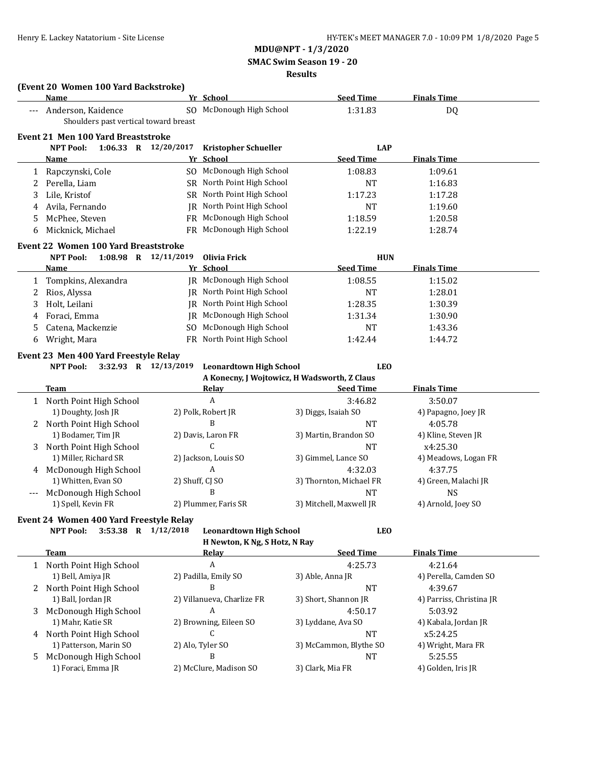**SMAC Swim Season 19 - 20**

#### **Results**

### **(Event 20 Women 100 Yard Backstroke)**

|    | <b>Name</b>                                  |                 | Yr School                                    | <b>Seed Time</b>    | <b>Finals Time</b>  |  |
|----|----------------------------------------------|-----------------|----------------------------------------------|---------------------|---------------------|--|
|    | Anderson, Kaidence                           |                 | SO McDonough High School                     | 1:31.83             | DQ                  |  |
|    | Shoulders past vertical toward breast        |                 |                                              |                     |                     |  |
|    | <b>Event 21 Men 100 Yard Breaststroke</b>    |                 |                                              |                     |                     |  |
|    | <b>NPT Pool:</b><br>1:06.33 R $12/20/2017$   |                 | <b>Kristopher Schueller</b>                  | <b>LAP</b>          |                     |  |
|    | Name                                         |                 | Yr School                                    | <b>Seed Time</b>    | <b>Finals Time</b>  |  |
|    | Rapczynski, Cole                             | SO <sub>2</sub> | McDonough High School                        | 1:08.83             | 1:09.61             |  |
| 2  | Perella, Liam                                | SR.             | North Point High School                      | <b>NT</b>           | 1:16.83             |  |
| 3  | Lile, Kristof                                | SR.             | North Point High School                      | 1:17.23             | 1:17.28             |  |
|    | Avila, Fernando                              | IR              | North Point High School                      | <b>NT</b>           | 1:19.60             |  |
| 5. | McPhee, Steven                               | <b>FR</b>       | McDonough High School                        | 1:18.59             | 1:20.58             |  |
| 6  | Micknick, Michael                            |                 | FR McDonough High School                     | 1:22.19             | 1:28.74             |  |
|    | <b>Event 22 Women 100 Yard Breaststroke</b>  |                 |                                              |                     |                     |  |
|    | $1:08.98$ R $12/11/2019$<br><b>NPT Pool:</b> |                 | Olivia Frick                                 | <b>HUN</b>          |                     |  |
|    | Name                                         |                 | Yr School                                    | <b>Seed Time</b>    | <b>Finals Time</b>  |  |
|    | Tompkins, Alexandra                          | IR              | McDonough High School                        | 1:08.55             | 1:15.02             |  |
| 2  | Rios, Alyssa                                 | IR              | North Point High School                      | <b>NT</b>           | 1:28.01             |  |
| 3  | Holt, Leilani                                | IR              | North Point High School                      | 1:28.35             | 1:30.39             |  |
| 4  | Foraci, Emma                                 | IR              | McDonough High School                        | 1:31.34             | 1:30.90             |  |
| 5  | Catena, Mackenzie                            | S <sub>O</sub>  | McDonough High School                        | <b>NT</b>           | 1:43.36             |  |
| 6  | Wright, Mara                                 |                 | FR North Point High School                   | 1:42.44             | 1:44.72             |  |
|    | Event 23 Men 400 Yard Freestyle Relay        |                 |                                              |                     |                     |  |
|    | <b>NPT Pool:</b><br>3:32.93 R 12/13/2019     |                 | <b>Leonardtown High School</b>               | <b>LEO</b>          |                     |  |
|    |                                              |                 | A Konecny, J Wojtowicz, H Wadsworth, Z Claus |                     |                     |  |
|    | <b>Team</b>                                  |                 | Relay                                        | <b>Seed Time</b>    | <b>Finals Time</b>  |  |
| 1  | North Point High School                      |                 | A                                            | 3:46.82             | 3:50.07             |  |
|    | 1) Doughty, Josh JR                          |                 | 2) Polk, Robert JR                           | 3) Diggs, Isaiah SO | 4) Papagno, Joey JR |  |

|                     | 1) Doughty, Josh JR     | 2) Polk, Robert JR   | 3) Diggs, Isaiah SO     | 4) Papagno, Joey JR  |
|---------------------|-------------------------|----------------------|-------------------------|----------------------|
|                     | North Point High School | В                    | NΤ                      | 4:05.78              |
|                     | 1) Bodamer, Tim JR      | 2) Davis, Laron FR   | 3) Martin, Brandon SO   | 4) Kline, Steven JR  |
| 3.                  | North Point High School |                      | NΤ                      | x4:25.30             |
|                     | 1) Miller, Richard SR   | 2) Jackson, Louis SO | 3) Gimmel, Lance SO     | 4) Meadows, Logan FR |
| 4                   | McDonough High School   | A                    | 4:32.03                 | 4:37.75              |
|                     | 1) Whitten, Evan SO     | 2) Shuff, CJ SO      | 3) Thornton, Michael FR | 4) Green, Malachi JR |
| $\qquad \qquad - -$ | McDonough High School   | В                    | NΤ                      | NS                   |
|                     | 1) Spell, Kevin FR      | 2) Plummer, Faris SR | 3) Mitchell, Maxwell JR | 4) Arnold, Joey SO   |

### **Event 24 Women 400 Yard Freestyle Relay**

 $\equiv$ 

**NPT Pool: 3:53.38 R 1/12/2018 Leonardtown High School LEO**

**H Newton, K Ng, S Hotz, N Ray**

|    | <b>Team</b>             | <b>Relav</b>               | <b>Seed Time</b>       | <b>Finals Time</b>       |
|----|-------------------------|----------------------------|------------------------|--------------------------|
|    | North Point High School | A                          | 4:25.73                | 4:21.64                  |
|    | 1) Bell, Amiya JR       | 2) Padilla, Emily SO       | 3) Able, Anna JR       | 4) Perella, Camden SO    |
| 2  | North Point High School | B                          | NT                     | 4:39.67                  |
|    | 1) Ball, Jordan JR      | 2) Villanueva, Charlize FR | 3) Short, Shannon JR   | 4) Parriss, Christina JR |
| 3. | McDonough High School   | А                          | 4:50.17                | 5:03.92                  |
|    | 1) Mahr, Katie SR       | 2) Browning, Eileen SO     | 3) Lyddane, Ava SO     | 4) Kabala, Jordan JR     |
| 4  | North Point High School | U                          | NT                     | x5:24.25                 |
|    | 1) Patterson, Marin SO  | 2) Alo, Tyler SO           | 3) McCammon, Blythe SO | 4) Wright, Mara FR       |
| 5  | McDonough High School   | B                          | NT                     | 5:25.55                  |
|    | 1) Foraci, Emma JR      | 2) McClure, Madison SO     | 3) Clark, Mia FR       | 4) Golden, Iris JR       |